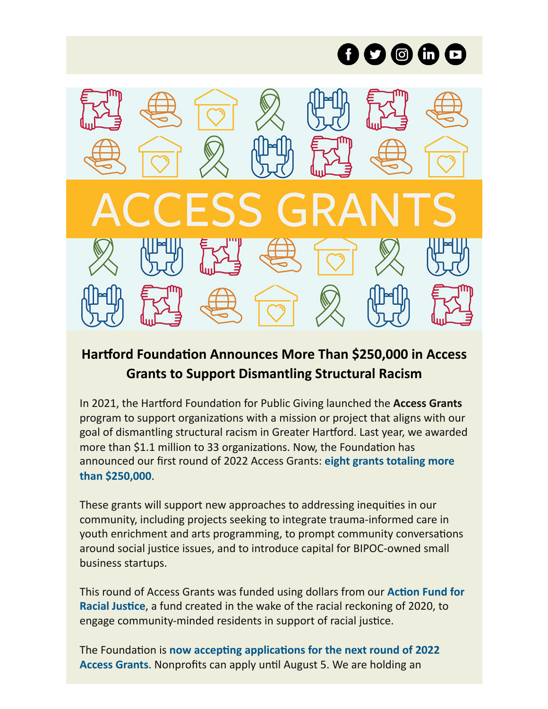



# **Hartford Foundation Announces More Than \$250,000 in Access Grants to Support Dismantling Structural Racism**

In 2021, the Hartford Foundation for Public Giving launched the **Access Grants** program to support organizations with a mission or project that aligns with our goal of dismantling structural racism in Greater Hartford. Last year, we awarded more than \$1.1 million to 33 organizations. Now, the Foundation has [announced our first round of 2022 Access Grants:](https://www.hfpg.org/what-we-do/new-and-noteworthy/hartford-foundation-announces-more-than-250000-in-grants-to-support-efforts-to-dismantle-structural-racism-and-achieve-equity-in) **eight grants totaling more than \$250,000**.

These grants will support new approaches to addressing inequities in our community, including projects seeking to integrate trauma-informed care in youth enrichment and arts programming, to prompt community conversations around social justice issues, and to introduce capital for BIPOC-owned small business startups.

[This round of Access Grants was funded using dollars from our](https://www.hfpg.org/donors/ways-to-give/action-fund-for-racial-justice) **Action Fund for Racial Justice**, a fund created in the wake of the racial reckoning of 2020, to engage community-minded residents in support of racial justice.

The Foundation is **now accepting applications for the next round of 2022 Access Grants**[. Nonprofits can apply until August 5. We are holding an](https://www.hfpg.org/nonprofits/access-grants)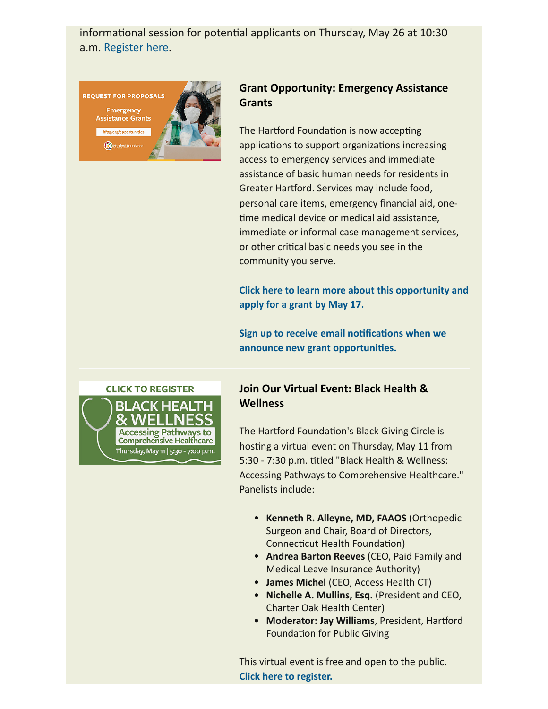informational session for potential applicants on Thursday, May 26 at 10:30 a.m. [Register here.](https://www.hfpg.org/nonprofits/access-grants#infosession)



## **Grant Opportunity: Emergency Assistance Grants**

The Hartford Foundation is now accepting applications to support organizations increasing access to emergency services and immediate assistance of basic human needs for residents in Greater Hartford. Services may include food, personal care items, emergency financial aid, one time medical device or medical aid assistance, immediate or informal case management services, or other critical basic needs you see in the community you serve.

**[Click here to learn more about this opportunity and](https://www.hfpg.org/nonprofits/current-grant-opportunities) apply for a grant by May 17.**

**[Sign up to receive email notifications when we](https://www.hfpg.org/nonprofits/current-grant-opportunities#sign-up) announce new grant opportunities.**



# **Join Our Virtual Event: Black Health & Wellness**

The Hartford Foundation's Black Giving Circle is hosting a virtual event on Thursday, May 11 from 5:30 - 7:30 p.m. titled "Black Health & Wellness: Accessing Pathways to Comprehensive Healthcare." Panelists include:

- **Kenneth R. Alleyne, MD, FAAOS** (Orthopedic Surgeon and Chair, Board of Directors, Connecticut Health Foundation)
- **Andrea Barton Reeves** (CEO, Paid Family and Medical Leave Insurance Authority)
- **James Michel** (CEO, Access Health CT)
- **Nichelle A. Mullins, Esq.** (President and CEO, Charter Oak Health Center)
- **Moderator: Jay Williams**, President, Hartford Foundation for Public Giving

This virtual event is free and open to the public. **[Click here to register.](https://us06web.zoom.us/webinar/register/WN_7Enuj9OgQFeghJYVqIMxig)**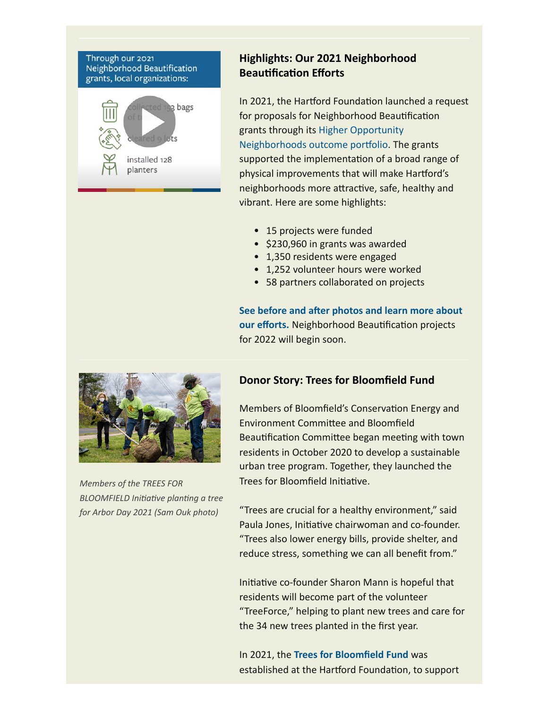#### Through our 2021 Neighborhood Beautification grants, local organizations:



# **Highlights: Our 2021 Neighborhood Beautification Efforts**

In 2021, the Hartford Foundation launched a request for proposals for Neighborhood Beautification [grants through its Higher Opportunity](https://www.hfpg.org/what-we-do/our-outcome-areas/higher-opportunity-neighborhoods) Neighborhoods outcome portfolio. The grants supported the implementation of a broad range of physical improvements that will make Hartford's neighborhoods more attractive, safe, healthy and vibrant. Here are some highlights:

- 15 projects were funded
- $\bullet$  \$230,960 in grants was awarded
- 1,350 residents were engaged
- 1,252 volunteer hours were worked
- 58 partners collaborated on projects

**[See before and after photos and learn more about](https://www.hfpg.org/application/files/5116/4978/9210/Neighborhood_Beautification_Brief_-_FINAL.pdf) our efforts.** Neighborhood Beautification projects for 2022 will begin soon.



*Members of the TREES FOR BLOOMFIELD Initiative planting a tree for Arbor Day 2021 (Sam Ouk photo)*

## **Donor Story: Trees for Bloomfield Fund**

Members of Bloomfield's Conservation Energy and Environment Committee and Bloomfield Beautification Committee began meeting with town residents in October 2020 to develop a sustainable urban tree program. Together, they launched the Trees for Bloomfield Initiative.

"Trees are crucial for a healthy environment," said Paula Jones, Initiative chairwoman and co-founder. "Trees also lower energy bills, provide shelter, and reduce stress, something we can all benefit from."

Initiative co-founder Sharon Mann is hopeful that residents will become part of the volunteer "TreeForce," helping to plant new trees and care for the 34 new trees planted in the first year.

In 2021, the **[Trees for Bloomfield Fund](https://hartford.fcsuite.com/erp/donate/create?funit_id=5327)** was established at the Hartford Foundation, to support